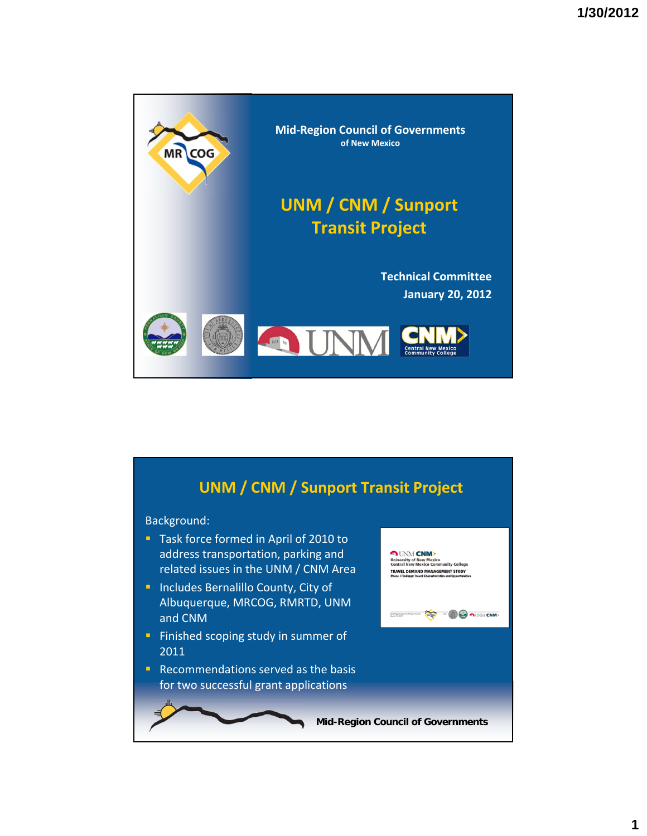

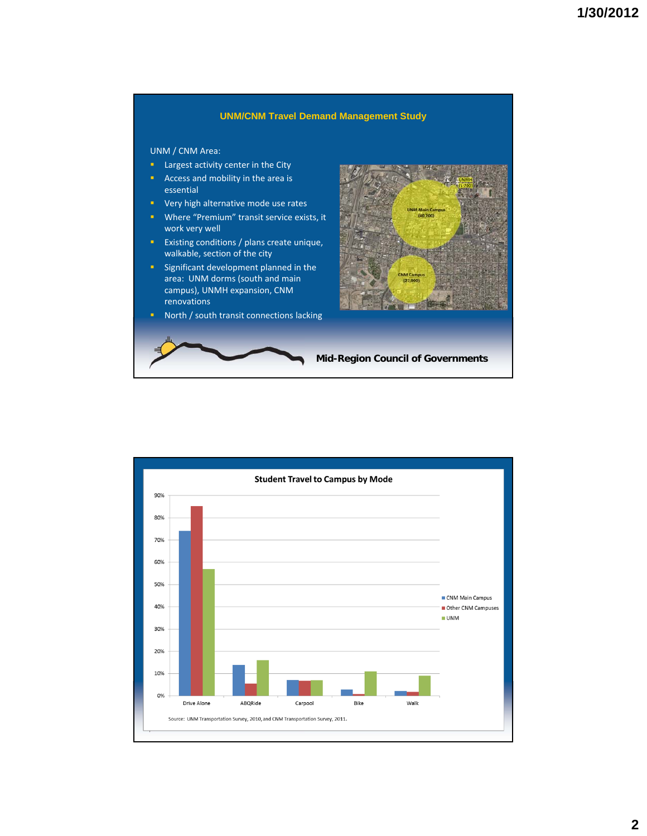## **UNM/CNM Travel Demand Management Study**

UNM / CNM Area:

- **Largest activity center in the City**
- Access and mobility in the area is essential
- **v** Very high alternative mode use rates
- **Where "Premium" transit service exists, it** work very well
- **Existing conditions / plans create unique,** walkable, section of the city
- **Significant development planned in the** area: UNM dorms (south and main campus), UNMH expansion, CNM renovations
- **North / south transit connections lacking**



**Mid-Region Council of Governments**

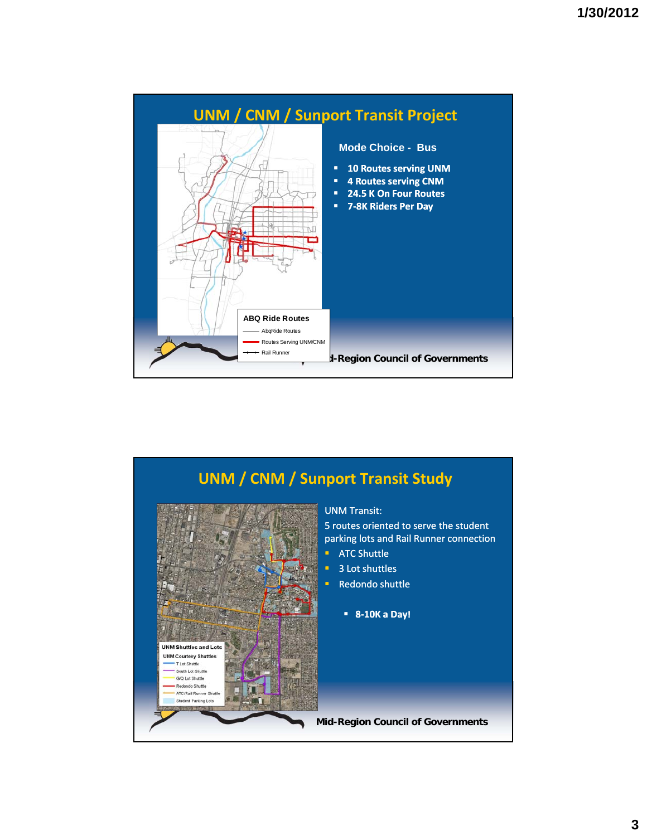

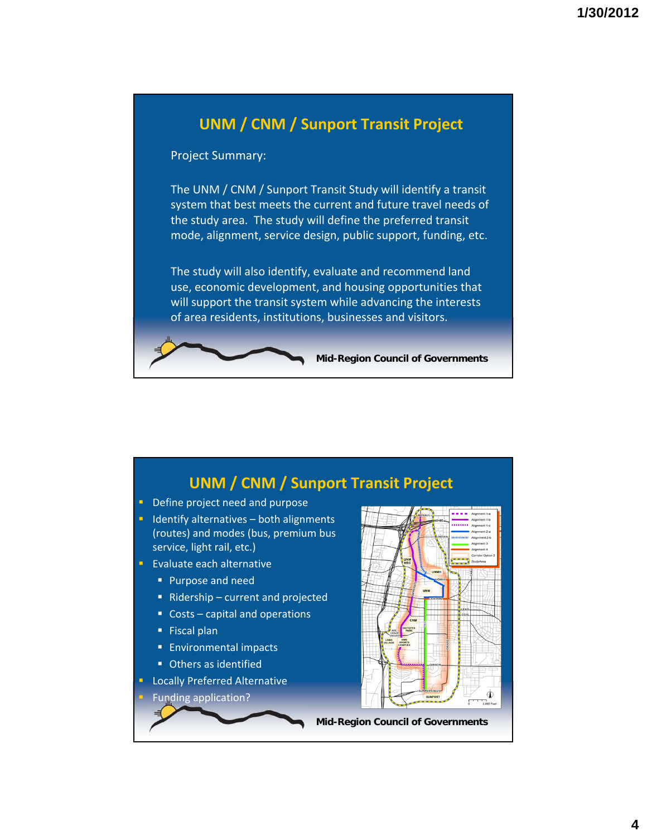

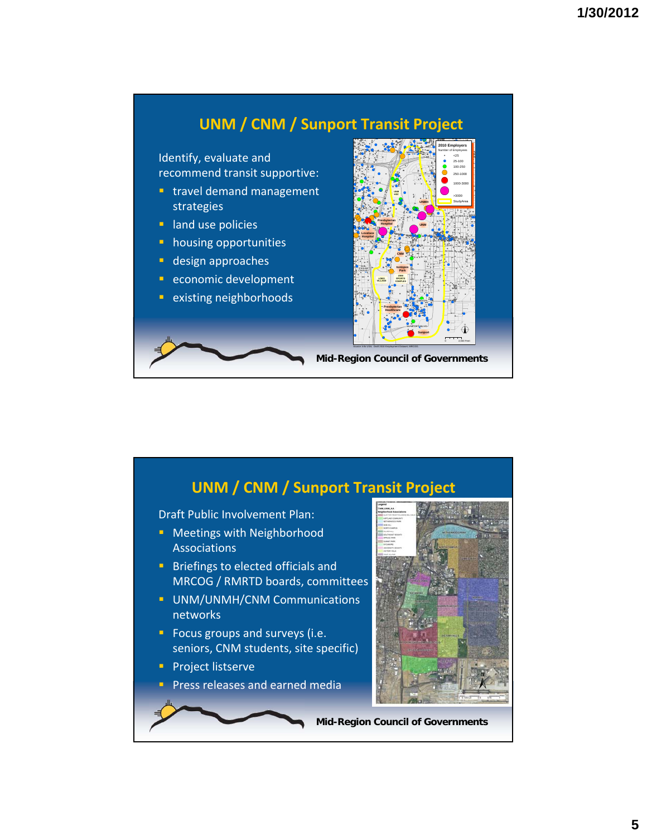